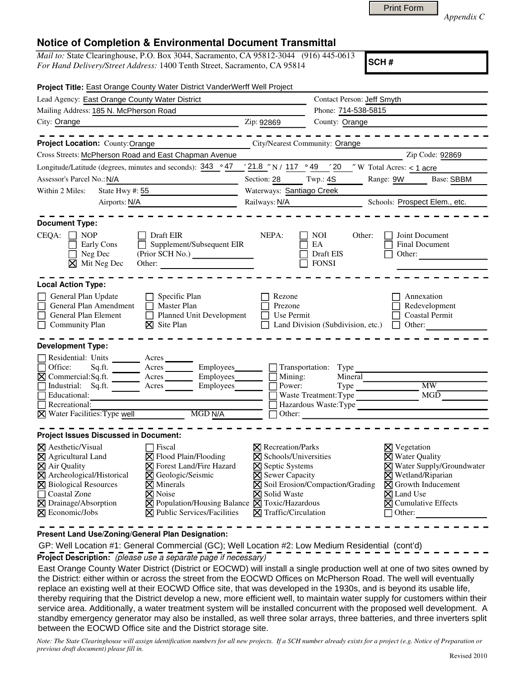| Print Form |
|------------|
|            |

*Appendix C* 

## **Notice of Completion & Environmental Document Transmittal**

*Mail to:* State Clearinghouse, P.O. Box 3044, Sacramento, CA 95812-3044 (916) 445-0613 *For Hand Delivery/Street Address:* 1400 Tenth Street, Sacramento, CA 95814

**SCH #**

| Project Title: East Orange County Water District VanderWerff Well Project                                                                                                                                                                                                                                                                                                                                                                                                                              |                                                                                                                                                                                   |                                                                                                            |                                                                                                                                                                                                                         |  |
|--------------------------------------------------------------------------------------------------------------------------------------------------------------------------------------------------------------------------------------------------------------------------------------------------------------------------------------------------------------------------------------------------------------------------------------------------------------------------------------------------------|-----------------------------------------------------------------------------------------------------------------------------------------------------------------------------------|------------------------------------------------------------------------------------------------------------|-------------------------------------------------------------------------------------------------------------------------------------------------------------------------------------------------------------------------|--|
| Lead Agency: East Orange County Water District                                                                                                                                                                                                                                                                                                                                                                                                                                                         |                                                                                                                                                                                   | Contact Person: Jeff Smyth                                                                                 |                                                                                                                                                                                                                         |  |
| Mailing Address: 185 N. McPherson Road                                                                                                                                                                                                                                                                                                                                                                                                                                                                 | Phone: 714-538-5815                                                                                                                                                               |                                                                                                            |                                                                                                                                                                                                                         |  |
| City: Orange<br><u> 1989 - Johann Barbara, martin amerikan basar da</u>                                                                                                                                                                                                                                                                                                                                                                                                                                | Zip: 92869                                                                                                                                                                        | County: Orange                                                                                             |                                                                                                                                                                                                                         |  |
|                                                                                                                                                                                                                                                                                                                                                                                                                                                                                                        |                                                                                                                                                                                   |                                                                                                            |                                                                                                                                                                                                                         |  |
| Project Location: County: Orange<br><b>City/Nearest Community: Orange</b>                                                                                                                                                                                                                                                                                                                                                                                                                              |                                                                                                                                                                                   |                                                                                                            |                                                                                                                                                                                                                         |  |
| Cross Streets: McPherson Road and East Chapman Avenue                                                                                                                                                                                                                                                                                                                                                                                                                                                  |                                                                                                                                                                                   |                                                                                                            | Zip Code: 92869                                                                                                                                                                                                         |  |
| Longitude/Latitude (degrees, minutes and seconds): $343$ ° 47                                                                                                                                                                                                                                                                                                                                                                                                                                          |                                                                                                                                                                                   | $\frac{1}{21.8}$ "N / 117 ° 49 $\frac{1}{20}$ "W Total Acres: < 1 acre                                     |                                                                                                                                                                                                                         |  |
| Assessor's Parcel No.: N/A                                                                                                                                                                                                                                                                                                                                                                                                                                                                             | Section: 28                                                                                                                                                                       | Twp: 4S                                                                                                    | Range: 9W Base: SBBM                                                                                                                                                                                                    |  |
| State Hwy #: 55<br>Within 2 Miles:                                                                                                                                                                                                                                                                                                                                                                                                                                                                     | Waterways: Santiago Creek                                                                                                                                                         |                                                                                                            |                                                                                                                                                                                                                         |  |
| Airports: N/A                                                                                                                                                                                                                                                                                                                                                                                                                                                                                          | Railways: N/A                                                                                                                                                                     |                                                                                                            | Schools: Prospect Elem., etc.                                                                                                                                                                                           |  |
| <b>Document Type:</b><br>$CEQA: \Box NP$<br>Draft EIR<br>Supplement/Subsequent EIR<br>Early Cons<br>Neg Dec<br>(Prior SCH No.)<br>$\boxtimes$ Mit Neg Dec<br>Other:                                                                                                                                                                                                                                                                                                                                    | NEPA:                                                                                                                                                                             | NOI<br>Other:<br>EA<br>Draft EIS<br><b>FONSI</b>                                                           | Joint Document<br>Final Document<br>Other:                                                                                                                                                                              |  |
| <b>Local Action Type:</b>                                                                                                                                                                                                                                                                                                                                                                                                                                                                              |                                                                                                                                                                                   |                                                                                                            |                                                                                                                                                                                                                         |  |
| General Plan Update<br>Specific Plan<br>$\Box$<br>General Plan Amendment<br>Master Plan<br>$\Box$<br>General Plan Element<br>П<br>Planned Unit Development<br>$\boxtimes$ Site Plan<br>Community Plan                                                                                                                                                                                                                                                                                                  | Rezone<br>Prezone<br>Use Permit                                                                                                                                                   | Land Division (Subdivision, etc.) $\Box$ Other:                                                            | Annexation<br>Redevelopment<br><b>Coastal Permit</b>                                                                                                                                                                    |  |
| <b>Development Type:</b>                                                                                                                                                                                                                                                                                                                                                                                                                                                                               |                                                                                                                                                                                   |                                                                                                            |                                                                                                                                                                                                                         |  |
| Residential: Units ________ Acres<br>Employees_<br>Office:<br>$\boxtimes$ Commercial: Sq.ft.<br>$\overline{\phantom{a}}$ Acres<br>Employees_______<br>Г<br>Industrial: Sq.ft. Acres<br>Employees______<br>Educational:<br>$\Box$ Recreational:<br>$\boxtimes$ Water Facilities: Type well<br>MGD N/A                                                                                                                                                                                                   | Mining:<br>Power:                                                                                                                                                                 | Transportation: Type<br>Mineral<br>$Type \_\_$<br>Waste Treatment: Type<br>Hazardous Waste: Type<br>Other: | $\overline{\text{MW}}$<br>MGD                                                                                                                                                                                           |  |
| <b>Project Issues Discussed in Document:</b>                                                                                                                                                                                                                                                                                                                                                                                                                                                           |                                                                                                                                                                                   |                                                                                                            |                                                                                                                                                                                                                         |  |
| $\times$ Aesthetic/Visual<br>□ Fiscal<br>X Agricultural Land<br>$\boxtimes$ Flood Plain/Flooding<br><b>X</b> Forest Land/Fire Hazard<br><b>X</b> Air Quality<br>X Archeological/Historical<br><b>⊠</b> Geologic/Seismic<br><b>X</b> Biological Resources<br>$\times$ Minerals<br><b>X</b> Noise<br>$\Box$<br>Coastal Zone<br>$\times$ Drainage/Absorption<br>$\boxtimes$ Population/Housing Balance $\boxtimes$ Toxic/Hazardous<br>$\boxtimes$ Public Services/Facilities<br>$\boxtimes$ Economic/Jobs | $\boxtimes$ Recreation/Parks<br>$\boxtimes$ Schools/Universities<br><b>X</b> Septic Systems<br><b>X</b> Sewer Capacity<br><b>X</b> Solid Waste<br>$\boxtimes$ Traffic/Circulation | $\boxtimes$ Soil Erosion/Compaction/Grading                                                                | $\boxtimes$ Vegetation<br>$\boxtimes$ Water Quality<br>X Water Supply/Groundwater<br><b>X</b> Wetland/Riparian<br>$\boxtimes$ Growth Inducement<br>$\times$ Land Use<br>$\boxtimes$ Cumulative Effects<br>$\Box$ Other: |  |

**Present Land Use/Zoning/General Plan Designation:**

 GP: Well Location #1: General Commercial (GC); Well Location #2: Low Medium Residential (cont'd) **Project Description:** (please use a separate page if necessary)

 East Orange County Water District (District or EOCWD) will install a single production well at one of two sites owned by the District: either within or across the street from the EOCWD Offices on McPherson Road. The well will eventually replace an existing well at their EOCWD Office site, that was developed in the 1930s, and is beyond its usable life, thereby requiring that the District develop a new, more efficient well, to maintain water supply for customers within their service area. Additionally, a water treatment system will be installed concurrent with the proposed well development. A standby emergency generator may also be installed, as well three solar arrays, three batteries, and three inverters split between the EOCWD Office site and the District storage site.

*Note: The State Clearinghouse will assign identification numbers for all new projects. If a SCH number already exists for a project (e.g. Notice of Preparation or previous draft document) please fill in.*